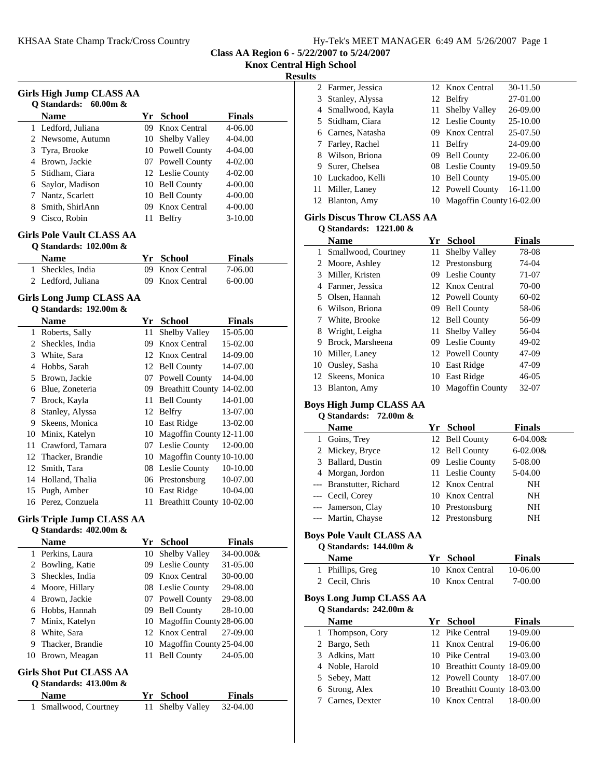**Class AA Region 6 - 5/22/2007 to 5/24/2007**

**Knox Central High School**

### **Results**

|    |                                   |    |                              |               | <b>Result</b> |
|----|-----------------------------------|----|------------------------------|---------------|---------------|
|    | <b>Girls High Jump CLASS AA</b>   |    |                              |               |               |
|    | <b>Q</b> Standards:<br>$60.00m$ & |    |                              |               |               |
|    | <b>Name</b>                       |    | Yr School                    | Finals        |               |
|    | 1 Ledford, Juliana                | 09 | Knox Central                 | 4-06.00       |               |
|    | 2 Newsome, Autumn                 |    | 10 Shelby Valley             | 4-04.00       |               |
|    | 3 Tyra, Brooke                    |    | 10 Powell County             | 4-04.00       |               |
|    | 4 Brown, Jackie                   |    | 07 Powell County             | 4-02.00       |               |
|    | 5 Stidham, Ciara                  |    | 12 Leslie County             | 4-02.00       |               |
|    | 6 Saylor, Madison                 |    | 10 Bell County               | 4-00.00       |               |
|    | 7 Nantz, Scarlett                 |    | 10 Bell County               | 4-00.00       |               |
|    | 8 Smith, ShirlAnn                 |    | 09 Knox Central              | 4-00.00       |               |
|    | 9 Cisco, Robin                    |    | 11 Belfry                    | $3-10.00$     |               |
|    | <b>Girls Pole Vault CLASS AA</b>  |    |                              |               |               |
|    | Q Standards: 102.00m &            |    |                              |               |               |
|    | <b>Name</b>                       |    | Yr School                    | <b>Finals</b> |               |
| 1  | Sheckles, India                   | 09 | Knox Central                 | 7-06.00       |               |
|    | 2 Ledford, Juliana                | 09 | Knox Central                 | 6-00.00       |               |
|    | Girls Long Jump CLASS AA          |    |                              |               |               |
|    | Q Standards: 192.00m &            |    |                              |               |               |
|    | <b>Name</b>                       |    | Yr School                    | <b>Finals</b> |               |
|    | 1 Roberts, Sally                  | 11 | Shelby Valley                | 15-05.00      |               |
|    | 2 Sheckles, India                 |    | 09 Knox Central              | 15-02.00      |               |
|    | 3 White, Sara                     |    | 12 Knox Central              | 14-09.00      |               |
|    | 4 Hobbs, Sarah                    |    | 12 Bell County               | 14-07.00      |               |
|    | 5 Brown, Jackie                   |    | 07 Powell County             | 14-04.00      |               |
|    | 6 Blue, Zoneteria                 |    | 09 Breathitt County 14-02.00 |               |               |
| 7  | Brock, Kayla                      | 11 | <b>Bell County</b>           | 14-01.00      |               |
| 8  | Stanley, Alyssa                   |    | 12 Belfry                    | 13-07.00      |               |
| 9. | Skeens, Monica                    |    | 10 East Ridge                | 13-02.00      |               |
|    | 10 Minix, Katelyn                 |    | 10 Magoffin County 12-11.00  |               |               |
|    | 11 Crawford, Tamara               |    | 07 Leslie County             | 12-00.00      |               |
|    | 12 Thacker, Brandie               |    | 10 Magoffin County 10-10.00  |               |               |
|    | 12 Smith, Tara                    |    | 08 Leslie County             | 10-10.00      |               |
|    | 14 Holland, Thalia                |    | 06 Prestonsburg              | 10-07.00      |               |
|    | 15 Pugh, Amber                    |    | 10 East Ridge                | 10-04.00      |               |
|    | 16 Perez, Conzuela                |    | 11 Breathitt County 10-02.00 |               |               |
|    | <b>Girls Triple Jump CLASS AA</b> |    |                              |               |               |
|    | Q Standards: 402.00m &            |    |                              |               |               |
|    | <b>Name</b>                       |    | Yr School                    | <b>Finals</b> |               |
|    | 1 Perkins, Laura                  |    | 10 Shelby Valley             | 34-00.00&     |               |
|    | 2 Bowling, Katie                  |    | 09 Leslie County             | 31-05.00      |               |
| 3  | Sheckles, India                   |    | 09 Knox Central              | 30-00.00      |               |
|    | 4 Moore, Hillary                  |    | 08 Leslie County             | 29-08.00      |               |
|    | 4 Brown, Jackie                   |    | 07 Powell County             | 29-08.00      |               |
|    | 6 Hobbs, Hannah                   |    | 09 Bell County               | 28-10.00      |               |
| 7  | Minix, Katelyn                    |    | 10 Magoffin County 28-06.00  |               |               |
|    | 8 White, Sara                     |    | 12 Knox Central              | 27-09.00      |               |
|    | 9 Thacker, Brandie                |    | 10 Magoffin County 25-04.00  |               |               |
|    | 10 Brown, Meagan                  | 11 | <b>Bell County</b>           | 24-05.00      |               |
|    | Girls Shot Put CLASS AA           |    |                              |               |               |
|    | Q Standards: 413.00m &            |    |                              |               |               |
|    | Name                              |    | Yr School                    | <b>Finals</b> |               |
|    | Smallwood, Courtney               |    |                              |               |               |

### **Girls Discus Throw CLASS AA Q Standards: 1221.00 &**

|    | $\sigma$ otalitial us. – 1.441.00 $\alpha$ |      |                        |               |
|----|--------------------------------------------|------|------------------------|---------------|
|    | <b>Name</b>                                | Yr.  | <b>School</b>          | <b>Finals</b> |
| 1  | Smallwood, Courtney                        | 11   | Shelby Valley          | 78-08         |
| 2  | Moore, Ashley                              |      | 12 Prestonsburg        | 74-04         |
| 3  | Miller, Kristen                            |      | 09 Leslie County       | 71-07         |
| 4  | Farmer, Jessica                            |      | 12 Knox Central        | $70-00$       |
| 5  | Olsen, Hannah                              |      | 12 Powell County       | $60-02$       |
| 6  | Wilson, Briona                             | 09.  | <b>Bell County</b>     | 58-06         |
| 7  | White, Brooke                              |      | 12 Bell County         | 56-09         |
| 8  | Wright, Leigha                             | 11-  | <b>Shelby Valley</b>   | 56-04         |
| 9  | Brock, Marsheena                           |      | 09 Leslie County       | 49-02         |
| 10 | Miller, Laney                              |      | 12 Powell County       | 47-09         |
| 10 | Ousley, Sasha                              |      | 10 East Ridge          | 47-09         |
| 12 | Skeens, Monica                             | 10   | East Ridge             | $46 - 05$     |
| 13 | Blanton, Amy                               | 10 - | <b>Magoffin County</b> | 32-07         |

# **Boys High Jump CLASS AA**

### **Q Standards: 72.00m & Name Finals Property Property Property Finals** 1 Goins, Trey 12 Bell County 6-04.00& 2 Mickey, Bryce 12 Bell County 6-02.00& 3 Ballard, Dustin 09 Leslie County 5-08.00 4 Morgan, Jordon 11 Leslie County 5-04.00 --- Branstutter, Richard 12 Knox Central NH --- Cecil, Corey 10 Knox Central NH --- Jamerson, Clay 10 Prestonsburg NH --- Martin, Chayse 12 Prestonsburg NH

### **Boys Pole Vault CLASS AA Q Standards: 144.00m &**

| <b>Name</b>      | Yr School       | <b>Finals</b> |
|------------------|-----------------|---------------|
| 1 Phillips, Greg | 10 Knox Central | 10-06.00      |
| 2 Cecil, Chris   | 10 Knox Central | 7-00.00       |

### **Boys Long Jump CLASS AA Q Standards: 242.00m &**

| $\sigma$ standards: 242.00 m $\alpha$ |  |                  |                              |               |
|---------------------------------------|--|------------------|------------------------------|---------------|
|                                       |  | <b>Name</b>      | Yr School                    | <b>Finals</b> |
|                                       |  | 1 Thompson, Cory | 12 Pike Central              | 19-09.00      |
|                                       |  | 2 Bargo, Seth    | 11 Knox Central              | 19-06.00      |
|                                       |  | 3 Adkins, Matt   | 10 Pike Central              | 19-03.00      |
|                                       |  | 4 Noble, Harold  | 10 Breathitt County 18-09.00 |               |
|                                       |  | 5 Sebey, Matt    | 12 Powell County             | 18-07.00      |
|                                       |  | 6 Strong, Alex   | 10 Breathitt County 18-03.00 |               |
|                                       |  | 7 Carnes, Dexter | 10 Knox Central              | 18-00.00      |
|                                       |  |                  |                              |               |